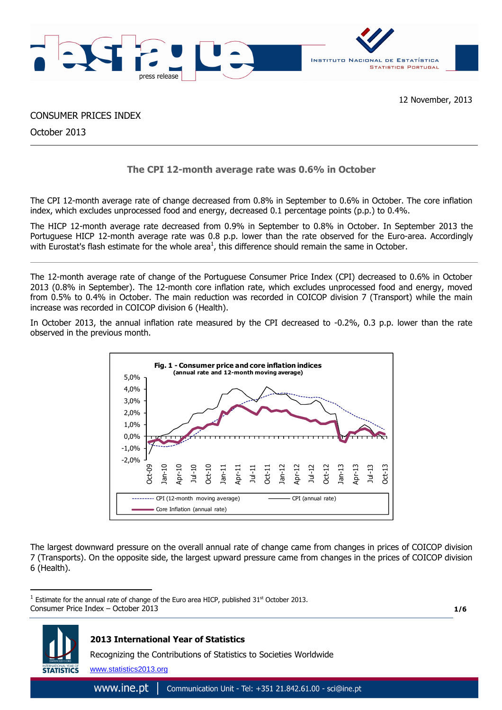

CONSUMER PRICES INDEX

October 2013

# **The CPI 12-month average rate was 0.6% in October**

The CPI 12-month average rate of change decreased from 0.8% in September to 0.6% in October. The core inflation index, which excludes unprocessed food and energy, decreased 0.1 percentage points (p.p.) to 0.4%.

The HICP 12-month average rate decreased from 0.9% in September to 0.8% in October. In September 2013 the Portuguese HICP 12-month average rate was 0.8 p.p. lower than the rate observed for the Euro-area. Accordingly with Eurostat's flash estimate for the whole area<sup>1</sup>, this difference should remain the same in October.

The 12-month average rate of change of the Portuguese Consumer Price Index (CPI) decreased to 0.6% in October 2013 (0.8% in September). The 12-month core inflation rate, which excludes unprocessed food and energy, moved from 0.5% to 0.4% in October. The main reduction was recorded in COICOP division 7 (Transport) while the main increase was recorded in COICOP division 6 (Health).

In October 2013, the annual inflation rate measured by the CPI decreased to -0.2%, 0.3 p.p. lower than the rate observed in the previous month.



The largest downward pressure on the overall annual rate of change came from changes in prices of COICOP division 7 (Transports). On the opposite side, the largest upward pressure came from changes in the prices of COICOP division 6 (Health).

**1/6**



 $\overline{a}$ 

Consumer Price Index – October 2013 <sup>1</sup> Estimate for the annual rate of change of the Euro area HICP, published 31<sup>st</sup> October 2013.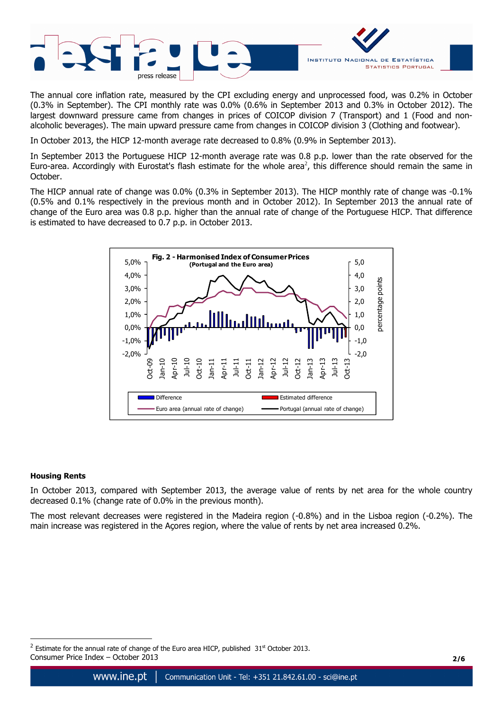

The annual core inflation rate, measured by the CPI excluding energy and unprocessed food, was 0.2% in October (0.3% in September). The CPI monthly rate was 0.0% (0.6% in September 2013 and 0.3% in October 2012). The largest downward pressure came from changes in prices of COICOP division 7 (Transport) and 1 (Food and nonalcoholic beverages). The main upward pressure came from changes in COICOP division 3 (Clothing and footwear).

In October 2013, the HICP 12-month average rate decreased to 0.8% (0.9% in September 2013).

In September 2013 the Portuguese HICP 12-month average rate was 0.8 p.p. lower than the rate observed for the Euro-area. Accordingly with Eurostat's flash estimate for the whole area<sup>2</sup>, this difference should remain the same in October.

The HICP annual rate of change was 0.0% (0.3% in September 2013). The HICP monthly rate of change was -0.1% (0.5% and 0.1% respectively in the previous month and in October 2012). In September 2013 the annual rate of change of the Euro area was 0.8 p.p. higher than the annual rate of change of the Portuguese HICP. That difference is estimated to have decreased to 0.7 p.p. in October 2013.



## **Housing Rents**

 $\overline{a}$ 

In October 2013, compared with September 2013, the average value of rents by net area for the whole country decreased 0.1% (change rate of 0.0% in the previous month).

The most relevant decreases were registered in the Madeira region (-0.8%) and in the Lisboa region (-0.2%). The main increase was registered in the Açores region, where the value of rents by net area increased 0.2%.

Consumer Price Index – October 2013 **2/6**  $2$  Estimate for the annual rate of change of the Euro area HICP, published  $31<sup>st</sup>$  October 2013.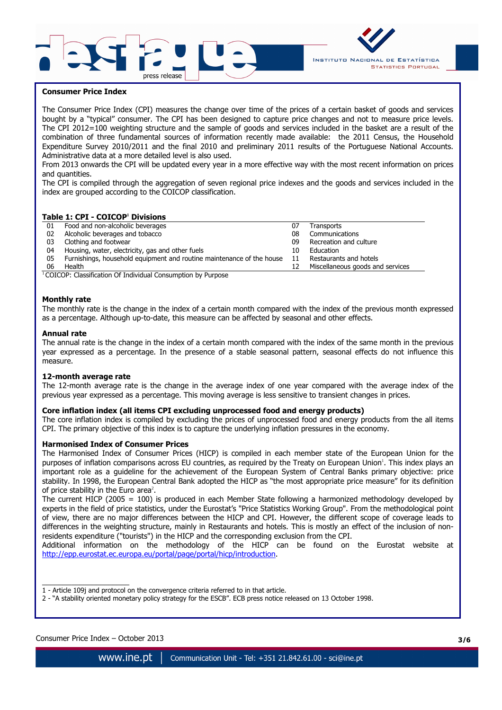



## **Consumer Price Index**

The Consumer Price Index (CPI) measures the change over time of the prices of a certain basket of goods and services bought by a "typical" consumer. The CPI has been designed to capture price changes and not to measure price levels. The CPI 2012=100 weighting structure and the sample of goods and services included in the basket are a result of the combination of three fundamental sources of information recently made available: the 2011 Census, the Household Expenditure Survey 2010/2011 and the final 2010 and preliminary 2011 results of the Portuguese National Accounts. Administrative data at a more detailed level is also used.

From 2013 onwards the CPI will be updated every year in a more effective way with the most recent information on prices and quantities.

The CPI is compiled through the aggregation of seven regional price indexes and the goods and services included in the index are grouped according to the COICOP classification.

## **Table 1: CPI - COICOP<sup>1</sup> Divisions**

| 01 | Food and non-alcoholic beverages                                      |    | Transports                       |
|----|-----------------------------------------------------------------------|----|----------------------------------|
| 02 | Alcoholic beverages and tobacco                                       | 08 | Communications                   |
| 03 | Clothing and footwear                                                 | 09 | Recreation and culture           |
| 04 | Housing, water, electricity, gas and other fuels                      | 10 | Education                        |
| 05 | Furnishings, household equipment and routine maintenance of the house | 11 | Restaurants and hotels           |
| 06 | Health                                                                |    | Miscellaneous goods and services |

<sup>1</sup> COICOP: Classification Of Individual Consumption by Purpose

#### **Monthly rate**

The monthly rate is the change in the index of a certain month compared with the index of the previous month expressed as a percentage. Although up-to-date, this measure can be affected by seasonal and other effects.

#### **Annual rate**

The annual rate is the change in the index of a certain month compared with the index of the same month in the previous year expressed as a percentage. In the presence of a stable seasonal pattern, seasonal effects do not influence this measure.

#### **12-month average rate**

The 12-month average rate is the change in the average index of one year compared with the average index of the previous year expressed as a percentage. This moving average is less sensitive to transient changes in prices.

## **Core inflation index (all items CPI excluding unprocessed food and energy products)**

The core inflation index is compiled by excluding the prices of unprocessed food and energy products from the all items CPI. The primary objective of this index is to capture the underlying inflation pressures in the economy.

#### **Harmonised Index of Consumer Prices**

The Harmonised Index of Consumer Prices (HICP) is compiled in each member state of the European Union for the purposes of inflation comparisons across EU countries, as required by the Treaty on European Union<sup>1</sup>. This index plays an important role as a guideline for the achievement of the European System of Central Banks primary objective: price stability. In 1998, the European Central Bank adopted the HICP as "the most appropriate price measure" for its definition of price stability in the Euro area<sup>2</sup>.

The current HICP (2005 = 100) is produced in each Member State following a harmonized methodology developed by experts in the field of price statistics, under the Eurostat's "Price Statistics Working Group". From the methodological point of view, there are no major differences between the HICP and CPI. However, the different scope of coverage leads to differences in the weighting structure, mainly in Restaurants and hotels. This is mostly an effect of the inclusion of nonresidents expenditure ("tourists") in the HICP and the corresponding exclusion from the CPI.

Additional information on the methodology of the HICP can be found on the Eurostat website at http://epp.eurostat.ec.europa.eu/portal/page/portal/hicp/introduction.

 $\overline{\phantom{a}}$  , where  $\overline{\phantom{a}}$  , where  $\overline{\phantom{a}}$  , where  $\overline{\phantom{a}}$  ,  $\overline{\phantom{a}}$  ,  $\overline{\phantom{a}}$  ,  $\overline{\phantom{a}}$  ,  $\overline{\phantom{a}}$  ,  $\overline{\phantom{a}}$  ,  $\overline{\phantom{a}}$  ,  $\overline{\phantom{a}}$  ,  $\overline{\phantom{a}}$  ,  $\overline{\phantom{a}}$  ,  $\overline{\phantom{a}}$  ,  $\overline{\phantom$ 1 - Article 109j and protocol on the convergence criteria referred to in that article.

2 - "A stability oriented monetary policy strategy for the ESCB". ECB press notice released on 13 October 1998.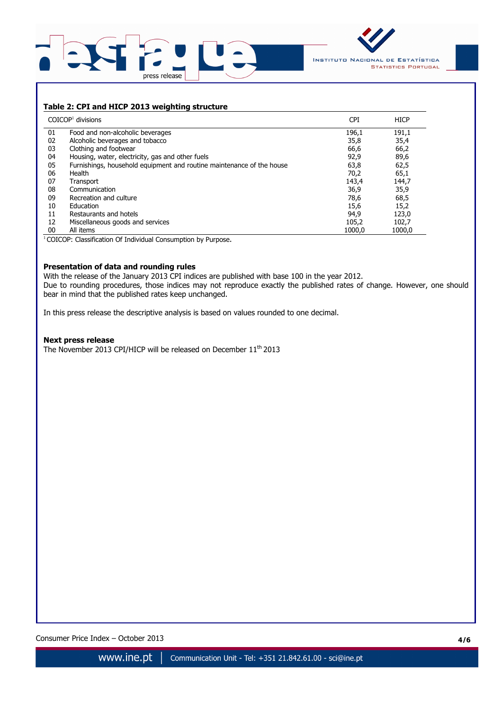



## **Table 2: CPI and HICP 2013 weighting structure**

|    | $COICOP1$ divisions                                                   | <b>CPI</b> | <b>HICP</b> |
|----|-----------------------------------------------------------------------|------------|-------------|
| 01 | Food and non-alcoholic beverages                                      | 196,1      | 191,1       |
| 02 | Alcoholic beverages and tobacco                                       | 35,8       | 35,4        |
| 03 | Clothing and footwear                                                 | 66,6       | 66,2        |
| 04 | Housing, water, electricity, gas and other fuels                      | 92,9       | 89,6        |
| 05 | Furnishings, household equipment and routine maintenance of the house | 63,8       | 62,5        |
| 06 | Health                                                                | 70,2       | 65,1        |
| 07 | Transport                                                             | 143,4      | 144,7       |
| 08 | Communication                                                         | 36,9       | 35,9        |
| 09 | Recreation and culture                                                | 78,6       | 68,5        |
| 10 | Education                                                             | 15,6       | 15,2        |
| 11 | Restaurants and hotels                                                | 94,9       | 123,0       |
| 12 | Miscellaneous goods and services                                      | 105,2      | 102,7       |
| 00 | All items                                                             | 1000.0     | 1000.0      |

<sup>1</sup>COICOP: Classification Of Individual Consumption by Purpose.

## **Presentation of data and rounding rules**

With the release of the January 2013 CPI indices are published with base 100 in the year 2012. Due to rounding procedures, those indices may not reproduce exactly the published rates of change. However, one should bear in mind that the published rates keep unchanged.

In this press release the descriptive analysis is based on values rounded to one decimal.

#### **Next press release**

The November 2013 CPI/HICP will be released on December 11<sup>th</sup> 2013

Consumer Price Index – October 2013 **4/6**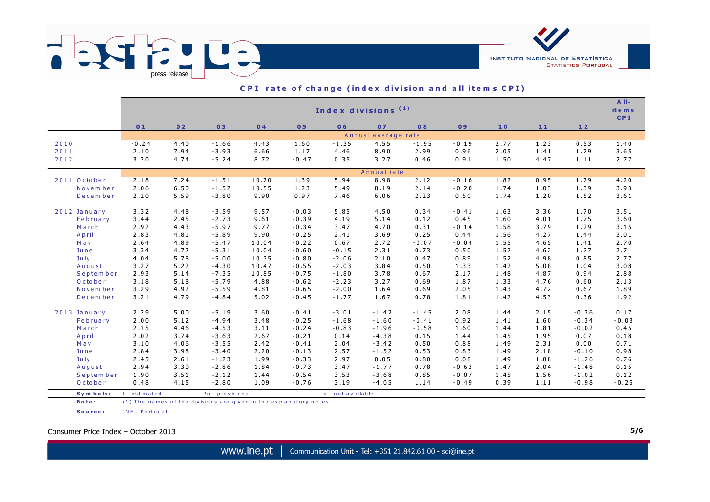

|              | Index divisions <sup>(1)</sup> |      |                                                                    |       |         |                 |             |         |         |      |      |         |         |  |  |
|--------------|--------------------------------|------|--------------------------------------------------------------------|-------|---------|-----------------|-------------|---------|---------|------|------|---------|---------|--|--|
|              | 01                             | 02   | 03                                                                 | 04    | 05      | 06              | 07          | 08      | 09      | 10   | 11   | 12      |         |  |  |
|              | Annual average rate            |      |                                                                    |       |         |                 |             |         |         |      |      |         |         |  |  |
| 2010         | $-0.24$                        | 4.40 | $-1.66$                                                            | 4.43  | 1.60    | $-1.35$         | 4.55        | $-1.95$ | $-0.19$ | 2.77 | 1.23 | 0.53    | 1.40    |  |  |
| 2011         | 2.10                           | 7.94 | $-3.93$                                                            | 6.66  | 1.17    | 4.46            | 8.90        | 2.99    | 0.96    | 2.05 | 1.41 | 1.79    | 3.65    |  |  |
| 2012         | 3.20                           | 4.74 | $-5.24$                                                            | 8.72  | $-0.47$ | 0.35            | 3.27        | 0.46    | 0.91    | 1.50 | 4.47 | 1.11    | 2.77    |  |  |
|              |                                |      |                                                                    |       |         |                 | Annual rate |         |         |      |      |         |         |  |  |
| 2011 October | 2.18                           | 7.24 | $-1.51$                                                            | 10.70 | 1.39    | 5.94            | 8.98        | 2.12    | $-0.16$ | 1.82 | 0.95 | 1.79    | 4.20    |  |  |
| Novem ber    | 2.06                           | 6.50 | $-1.52$                                                            | 10.55 | 1.23    | 5.49            | 8.19        | 2.14    | $-0.20$ | 1.74 | 1.03 | 1.39    | 3.93    |  |  |
| December     | 2.20                           | 5.59 | $-3.80$                                                            | 9.90  | 0.97    | 7.46            | 6.06        | 2.23    | 0.50    | 1.74 | 1.20 | 1.52    | 3.61    |  |  |
| 2012 January | 3.32                           | 4.48 | $-3.59$                                                            | 9.57  | $-0.03$ | 5.85            | 4.50        | 0.34    | $-0.41$ | 1.63 | 3.36 | 1.70    | 3.51    |  |  |
| February     | 3.44                           | 2.45 | $-2.73$                                                            | 9.61  | $-0.39$ | 4.19            | 5.14        | 0.12    | 0.45    | 1.60 | 4.01 | 1.75    | 3.60    |  |  |
| March        | 2.92                           | 4.43 | $-5.97$                                                            | 9.77  | $-0.34$ | 3.47            | 4.70        | 0.31    | $-0.14$ | 1.58 | 3.79 | 1.29    | 3.15    |  |  |
| April        | 2.83                           | 4.81 | $-5.89$                                                            | 9.90  | $-0.25$ | 2.41            | 3.69        | 0.25    | 0.44    | 1.56 | 4.27 | 1.44    | 3.01    |  |  |
| May          | 2.64                           | 4.89 | $-5.47$                                                            | 10.04 | $-0.22$ | 0.67            | 2.72        | $-0.07$ | $-0.04$ | 1.55 | 4.65 | 1.41    | 2.70    |  |  |
| June         | 3.34                           | 4.72 | $-5.31$                                                            | 10.04 | $-0.60$ | $-0.15$         | 2.31        | 0.73    | 0.50    | 1.52 | 4.62 | 1.27    | 2.71    |  |  |
| July         | 4.04                           | 5.78 | $-5.00$                                                            | 10.35 | $-0.80$ | $-2.06$         | 2.10        | 0.47    | 0.89    | 1.52 | 4.98 | 0.85    | 2.77    |  |  |
| August       | 3.27                           | 5.22 | $-4.30$                                                            | 10.47 | $-0.55$ | $-2.03$         | 3.84        | 0.50    | 1.33    | 1.42 | 5.08 | 1.04    | 3.08    |  |  |
| September    | 2.93                           | 5.14 | $-7.35$                                                            | 10.85 | $-0.75$ | $-1.80$         | 3.78        | 0.67    | 2.17    | 1.48 | 4.87 | 0.94    | 2.88    |  |  |
| October      | 3.18                           | 5.18 | $-5.79$                                                            | 4.88  | $-0.62$ | $-2.23$         | 3.27        | 0.69    | 1.87    | 1.33 | 4.76 | 0.60    | 2.13    |  |  |
| Novem ber    | 3.29                           | 4.92 | $-5.59$                                                            | 4.81  | $-0.65$ | $-2.00$         | 1.64        | 0.69    | 2.05    | 1.43 | 4.72 | 0.67    | 1.89    |  |  |
| December     | 3.21                           | 4.79 | $-4.84$                                                            | 5.02  | $-0.45$ | $-1.77$         | 1.67        | 0.78    | 1.81    | 1.42 | 4.53 | 0.36    | 1.92    |  |  |
| 2013 January | 2.29                           | 5.00 | $-5.19$                                                            | 3.60  | $-0.41$ | $-3.01$         | $-1.42$     | $-1.45$ | 2.08    | 1.44 | 2.15 | $-0.36$ | 0.17    |  |  |
| February     | 2.00                           | 5.12 | $-4.94$                                                            | 3.48  | $-0.25$ | $-1.68$         | $-1.60$     | $-0.41$ | 0.92    | 1.41 | 1.60 | $-0.34$ | $-0.03$ |  |  |
| March        | 2.15                           | 4.46 | $-4.53$                                                            | 3.11  | $-0.24$ | $-0.83$         | $-1.96$     | $-0.58$ | 1.60    | 1.44 | 1.81 | $-0.02$ | 0.45    |  |  |
| April        | 2.02                           | 3.74 | $-3.63$                                                            | 2.67  | $-0.21$ | 0.14            | $-4.38$     | 0.15    | 1.44    | 1.45 | 1.95 | 0.07    | 0.18    |  |  |
| May          | 3.10                           | 4.06 | $-3.55$                                                            | 2.42  | $-0.41$ | 2.04            | $-3.42$     | 0.50    | 0.88    | 1.49 | 2.31 | 0.00    | 0.71    |  |  |
| June         | 2.84                           | 3.98 | $-3.40$                                                            | 2.20  | $-0.13$ | 2.57            | $-1.52$     | 0.53    | 0.83    | 1.49 | 2.18 | $-0.10$ | 0.98    |  |  |
| July         | 2.45                           | 2.61 | $-1.23$                                                            | 1.99  | $-0.33$ | 2.97            | 0.05        | 0.80    | 0.08    | 1.49 | 1.88 | $-1.26$ | 0.76    |  |  |
| August       | 2.94                           | 3.30 | $-2.86$                                                            | 1.84  | $-0.73$ | 3.47            | $-1.77$     | 0.78    | $-0.63$ | 1.47 | 2.04 | $-1.48$ | 0.15    |  |  |
| September    | 1.90                           | 3.51 | $-2.12$                                                            | 1.44  | $-0.54$ | 3.53            | $-3.68$     | 0.85    | $-0.07$ | 1.45 | 1.56 | $-1.02$ | 0.12    |  |  |
| October      | 0.48                           | 4.15 | $-2.80$                                                            | 1.09  | $-0.76$ | 3.19            | $-4.05$     | 1.14    | $-0.49$ | 0.39 | 1.11 | $-0.98$ | $-0.25$ |  |  |
| Symbols:     | estimated                      |      | Po provisional                                                     |       |         | x not available |             |         |         |      |      |         |         |  |  |
| Note:        |                                |      | (1) The names of the divisions are given in the explanatory notes. |       |         |                 |             |         |         |      |      |         |         |  |  |

## CPI rate of change (index division and all items CPI)

Consumer Price Index – October 2013 **5/6**

**<sup>S</sup> <sup>o</sup> <sup>u</sup> <sup>r</sup> <sup>c</sup> <sup>e</sup> :** IN <sup>E</sup> - <sup>P</sup> <sup>o</sup> <sup>r</sup> <sup>t</sup> <sup>u</sup> <sup>g</sup> <sup>a</sup> <sup>l</sup>